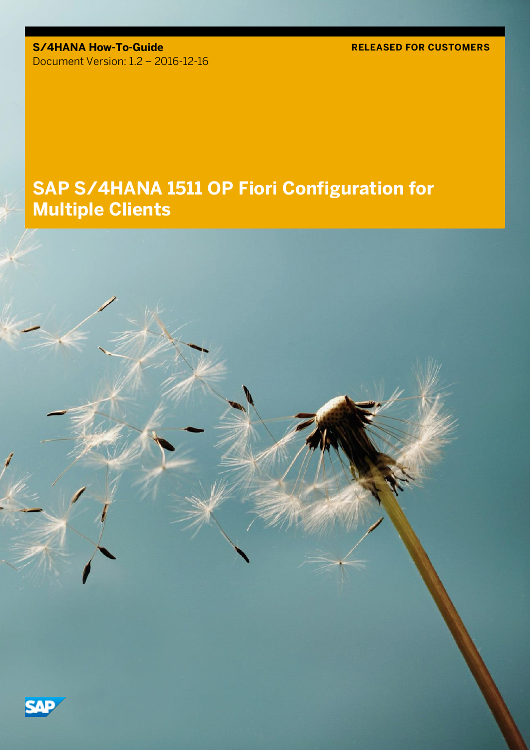**S/4HANA How-To-Guide** Document Version: 1.2 – 2016-12-16 **RELEASED FOR CUSTOMERS**

# **SAP S/4HANA 1511 OP Fiori Configuration for Multiple Clients**

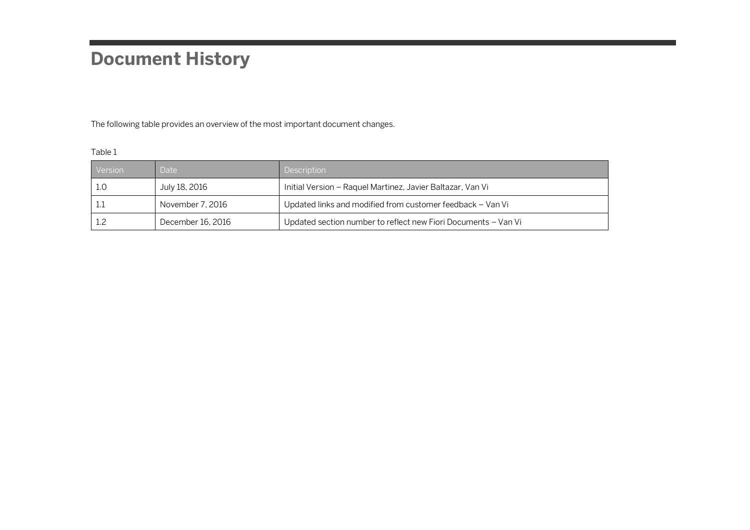# **Document History**

The following table provides an overview of the most important document changes.

| . .<br>۰. |  |
|-----------|--|
|           |  |

| Version | Date:             | Description                                                    |
|---------|-------------------|----------------------------------------------------------------|
| -1.0    | July 18, 2016     | Initial Version – Raquel Martinez, Javier Baltazar, Van Vi     |
|         | November 7, 2016  | Updated links and modified from customer feedback - Van Vi     |
|         | December 16, 2016 | Updated section number to reflect new Fiori Documents - Van Vi |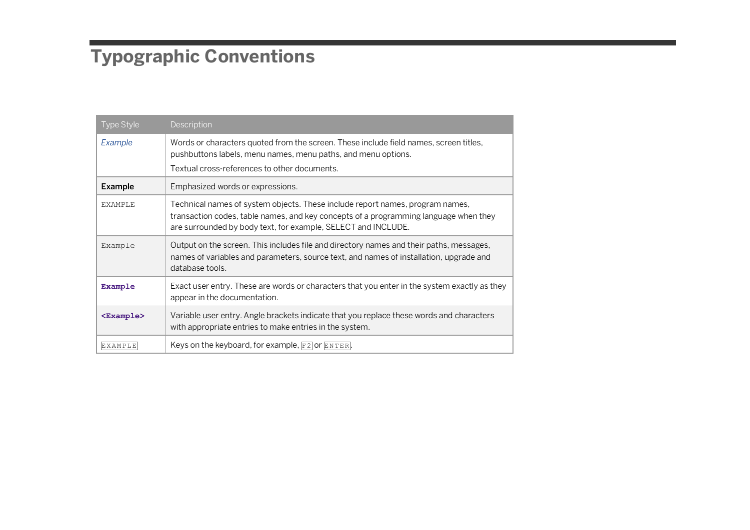# **Typographic Conventions**

| <b>Type Style</b>   | Description                                                                                                                                                                                                                            |
|---------------------|----------------------------------------------------------------------------------------------------------------------------------------------------------------------------------------------------------------------------------------|
| Example             | Words or characters quoted from the screen. These include field names, screen titles,<br>pushbuttons labels, menu names, menu paths, and menu options.                                                                                 |
|                     | Textual cross-references to other documents.                                                                                                                                                                                           |
| Example             | Emphasized words or expressions.                                                                                                                                                                                                       |
| <b>EXAMPLE</b>      | Technical names of system objects. These include report names, program names,<br>transaction codes, table names, and key concepts of a programming language when they<br>are surrounded by body text, for example, SELECT and INCLUDE. |
| Example             | Output on the screen. This includes file and directory names and their paths, messages,<br>names of variables and parameters, source text, and names of installation, upgrade and<br>database tools.                                   |
| Example             | Exact user entry. These are words or characters that you enter in the system exactly as they<br>appear in the documentation.                                                                                                           |
| <example></example> | Variable user entry. Angle brackets indicate that you replace these words and characters<br>with appropriate entries to make entries in the system.                                                                                    |
| <b>EXAMPLE</b>      | Keys on the keyboard, for example, $F2$ or $ETER$ .                                                                                                                                                                                    |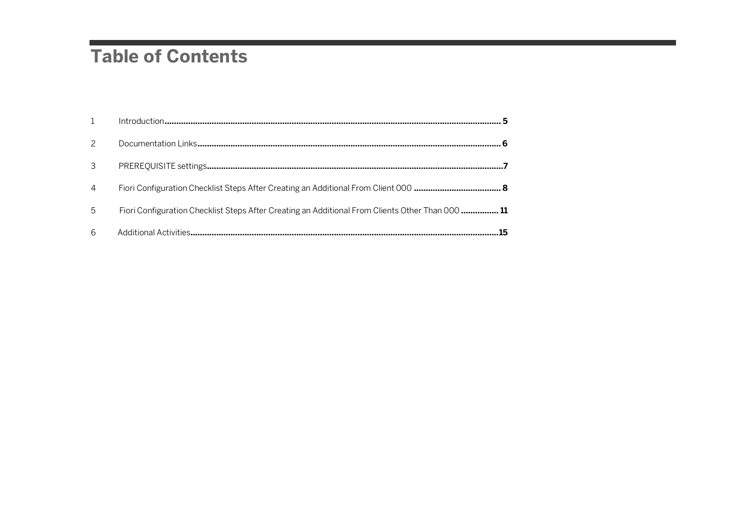# **Table of Contents**

| 4 |                                                                                                 |  |
|---|-------------------------------------------------------------------------------------------------|--|
| 5 | Fiori Configuration Checklist Steps After Creating an Additional From Clients Other Than 000 11 |  |
| 6 |                                                                                                 |  |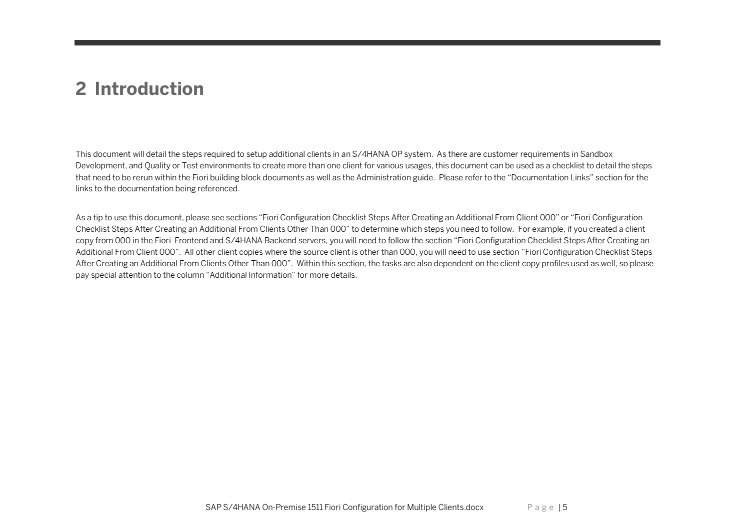#### <span id="page-4-0"></span>**2 Introduction**

This document will detail the steps required to setup additional clients in an S/4HANA OP system. As there are customer requirements in Sandbox Development, and Quality or Test environments to create more than one client for various usages, this document can be used as a checklist to detail the steps that need to be rerun within the Fiori building block documents as well as the Administration guide. Please refer to the "Documentation Links" section for the links to the documentation being referenced.

As a tip to use this document, please see sections "Fiori Configuration Checklist Steps After Creating an Additional From Client 000" or "Fiori Configuration Checklist Steps After Creating an Additional From Clients Other Than 000" to determine which steps you need to follow. For example, if you created a client copy from 000 in the Fiori Frontend and S/4HANA Backend servers, you will need to follow the section "Fiori Configuration Checklist Steps After Creating an Additional From Client 000". All other client copies where the source client is other than 000, you will need to use section "Fiori Configuration Checklist Steps After Creating an Additional From Clients Other Than 000". Within this section, the tasks are also dependent on the client copy profiles used as well, so please pay special attention to the column "Additional Information" for more details.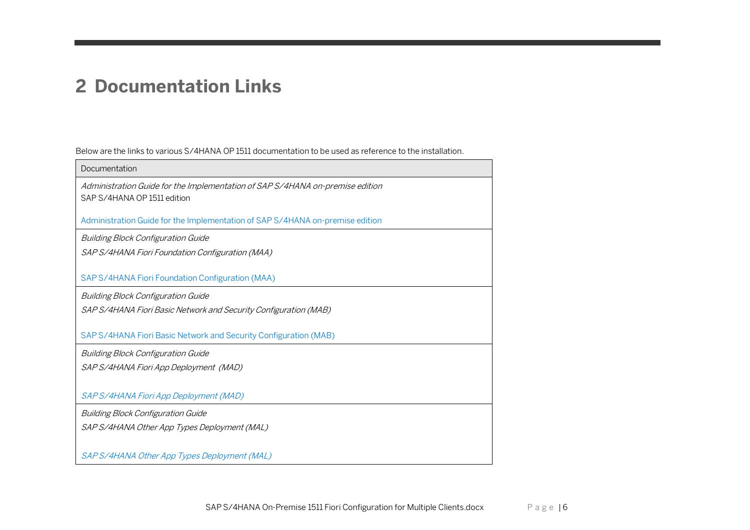### <span id="page-5-0"></span>**2 Documentation Links**

Below are the links to various S/4HANA OP 1511 documentation to be used as reference to the installation.

| Documentation                                                                                                |
|--------------------------------------------------------------------------------------------------------------|
| Administration Guide for the Implementation of SAP S/4HANA on-premise edition<br>SAP S/4HANA OP 1511 edition |
| Administration Guide for the Implementation of SAP S/4HANA on-premise edition                                |
| <b>Building Block Configuration Guide</b>                                                                    |
| SAP S/4HANA Fiori Foundation Configuration (MAA)                                                             |
| SAP S/4HANA Fiori Foundation Configuration (MAA)                                                             |
| <b>Building Block Configuration Guide</b>                                                                    |
| SAP S/4HANA Fiori Basic Network and Security Configuration (MAB)                                             |
|                                                                                                              |
| SAP S/4HANA Fiori Basic Network and Security Configuration (MAB)                                             |
| <b>Building Block Configuration Guide</b>                                                                    |
| SAP S/4HANA Fiori App Deployment (MAD)                                                                       |
|                                                                                                              |
| SAP S/4HANA Fiori App Deployment (MAD)                                                                       |
| <b>Building Block Configuration Guide</b>                                                                    |
| SAP S/4HANA Other App Types Deployment (MAL)                                                                 |
|                                                                                                              |
| SAP S/4HANA Other App Types Deployment (MAL)                                                                 |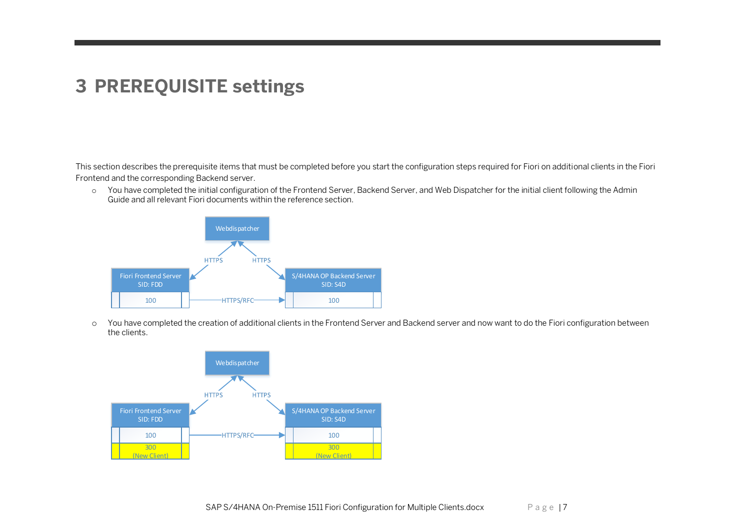### <span id="page-6-0"></span>**3 PREREQUISITE settings**

This section describes the prerequisite items that must be completed before you start the configuration steps required for Fiori on additional clients in the Fiori Frontend and the corresponding Backend server.

o You have completed the initial configuration of the Frontend Server, Backend Server, and Web Dispatcher for the initial client following the Admin Guide and all relevant Fiori documents within the reference section.



o You have completed the creation of additional clients in the Frontend Server and Backend server and now want to do the Fiori configuration between the clients.

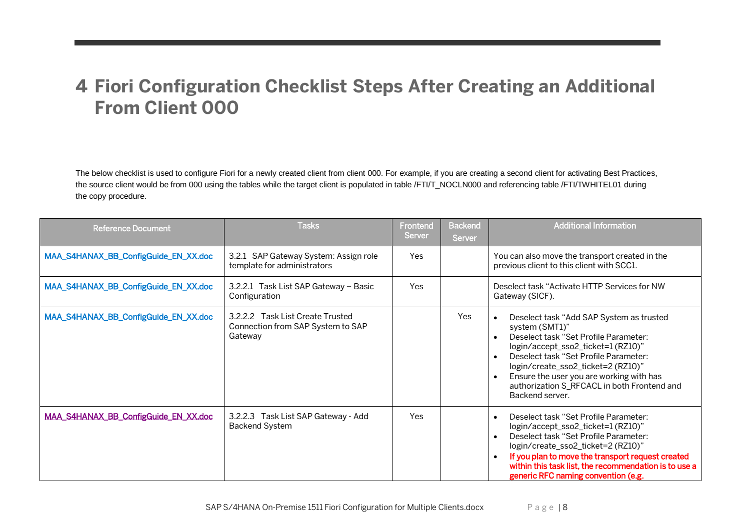#### <span id="page-7-0"></span>**4 Fiori Configuration Checklist Steps After Creating an Additional From Client 000**

The below checklist is used to configure Fiori for a newly created client from client 000. For example, if you are creating a second client for activating Best Practices, the source client would be from 000 using the tables while the target client is populated in table /FTI/T\_NOCLN000 and referencing table /FTI/TWHITEL01 during the copy procedure.

| <b>Reference Document</b>            | <b>Tasks</b>                                                                     | Frontend<br><b>Server</b> | <b>Backend</b><br><b>Server</b> | <b>Additional Information</b>                                                                                                                                                                                                                                                                                                                      |
|--------------------------------------|----------------------------------------------------------------------------------|---------------------------|---------------------------------|----------------------------------------------------------------------------------------------------------------------------------------------------------------------------------------------------------------------------------------------------------------------------------------------------------------------------------------------------|
| MAA_S4HANAX_BB_ConfigGuide_EN_XX.doc | 3.2.1 SAP Gateway System: Assign role<br>template for administrators             | <b>Yes</b>                |                                 | You can also move the transport created in the<br>previous client to this client with SCC1.                                                                                                                                                                                                                                                        |
| MAA_S4HANAX_BB_ConfigGuide_EN_XX.doc | 3.2.2.1 Task List SAP Gateway - Basic<br>Configuration                           | Yes                       |                                 | Deselect task "Activate HTTP Services for NW<br>Gateway (SICF).                                                                                                                                                                                                                                                                                    |
| MAA_S4HANAX_BB_ConfigGuide_EN_XX.doc | 3.2.2.2 Task List Create Trusted<br>Connection from SAP System to SAP<br>Gateway |                           | Yes                             | Deselect task "Add SAP System as trusted<br>system (SMT1)"<br>Deselect task "Set Profile Parameter:<br>login/accept_sso2_ticket=1(RZ10)"<br>Deselect task "Set Profile Parameter:<br>$\bullet$<br>login/create_sso2_ticket=2 (RZ10)"<br>Ensure the user you are working with has<br>authorization S_RFCACL in both Frontend and<br>Backend server. |
| MAA_S4HANAX_BB_ConfigGuide_EN_XX.doc | 3.2.2.3 Task List SAP Gateway - Add<br><b>Backend System</b>                     | <b>Yes</b>                |                                 | Deselect task "Set Profile Parameter:<br>$\bullet$<br>login/accept_sso2_ticket=1(RZ10)"<br>Deselect task "Set Profile Parameter:<br>$\bullet$<br>login/create_sso2_ticket=2 (RZ10)"<br>If you plan to move the transport request created<br>within this task list, the recommendation is to use a<br>generic RFC naming convention (e.g.           |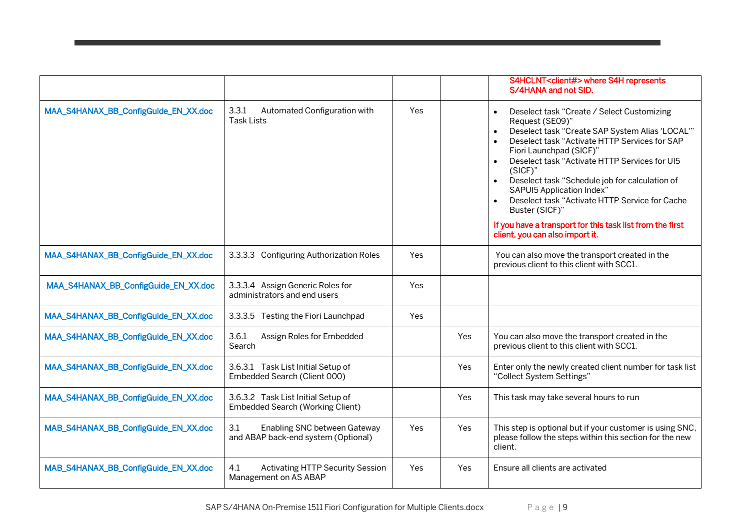|                                      |                                                                            |     |            | S4HCLNT <client#> where S4H represents<br/>S/4HANA and not SID.</client#>                                                                                                                                                                                                                                                                                                                                                                                                                                                                                                    |
|--------------------------------------|----------------------------------------------------------------------------|-----|------------|------------------------------------------------------------------------------------------------------------------------------------------------------------------------------------------------------------------------------------------------------------------------------------------------------------------------------------------------------------------------------------------------------------------------------------------------------------------------------------------------------------------------------------------------------------------------------|
| MAA_S4HANAX_BB_ConfigGuide_EN_XX.doc | 3.3.1<br>Automated Configuration with<br><b>Task Lists</b>                 | Yes |            | Deselect task "Create / Select Customizing<br>$\bullet$<br>Request (SE09)"<br>Deselect task "Create SAP System Alias 'LOCAL'"<br>$\bullet$<br>Deselect task "Activate HTTP Services for SAP<br>$\bullet$<br>Fiori Launchpad (SICF)"<br>Deselect task "Activate HTTP Services for UI5<br>$\bullet$<br>(SICF)"<br>Deselect task "Schedule job for calculation of<br>$\bullet$<br>SAPUI5 Application Index"<br>Deselect task "Activate HTTP Service for Cache<br>Buster (SICF)"<br>If you have a transport for this task list from the first<br>client, you can also import it. |
| MAA_S4HANAX_BB_ConfigGuide_EN_XX.doc | 3.3.3.3 Configuring Authorization Roles                                    | Yes |            | You can also move the transport created in the<br>previous client to this client with SCC1.                                                                                                                                                                                                                                                                                                                                                                                                                                                                                  |
| MAA_S4HANAX_BB_ConfigGuide_EN_XX.doc | 3.3.3.4 Assign Generic Roles for<br>administrators and end users           | Yes |            |                                                                                                                                                                                                                                                                                                                                                                                                                                                                                                                                                                              |
| MAA_S4HANAX_BB_ConfigGuide_EN_XX.doc | 3.3.3.5 Testing the Fiori Launchpad                                        | Yes |            |                                                                                                                                                                                                                                                                                                                                                                                                                                                                                                                                                                              |
| MAA_S4HANAX_BB_ConfigGuide_EN_XX.doc | 3.6.1<br>Assign Roles for Embedded<br>Search                               |     | <b>Yes</b> | You can also move the transport created in the<br>previous client to this client with SCC1.                                                                                                                                                                                                                                                                                                                                                                                                                                                                                  |
| MAA_S4HANAX_BB_ConfigGuide_EN_XX.doc | 3.6.3.1 Task List Initial Setup of<br>Embedded Search (Client 000)         |     | Yes        | Enter only the newly created client number for task list<br>"Collect System Settings"                                                                                                                                                                                                                                                                                                                                                                                                                                                                                        |
| MAA_S4HANAX_BB_ConfigGuide_EN_XX.doc | 3.6.3.2 Task List Initial Setup of<br>Embedded Search (Working Client)     |     | Yes        | This task may take several hours to run                                                                                                                                                                                                                                                                                                                                                                                                                                                                                                                                      |
| MAB_S4HANAX_BB_ConfigGuide_EN_XX.doc | 3.1<br>Enabling SNC between Gateway<br>and ABAP back-end system (Optional) | Yes | Yes        | This step is optional but if your customer is using SNC,<br>please follow the steps within this section for the new<br>client.                                                                                                                                                                                                                                                                                                                                                                                                                                               |
| MAB_S4HANAX_BB_ConfigGuide_EN_XX.doc | 4.1<br><b>Activating HTTP Security Session</b><br>Management on AS ABAP    | Yes | Yes        | Ensure all clients are activated                                                                                                                                                                                                                                                                                                                                                                                                                                                                                                                                             |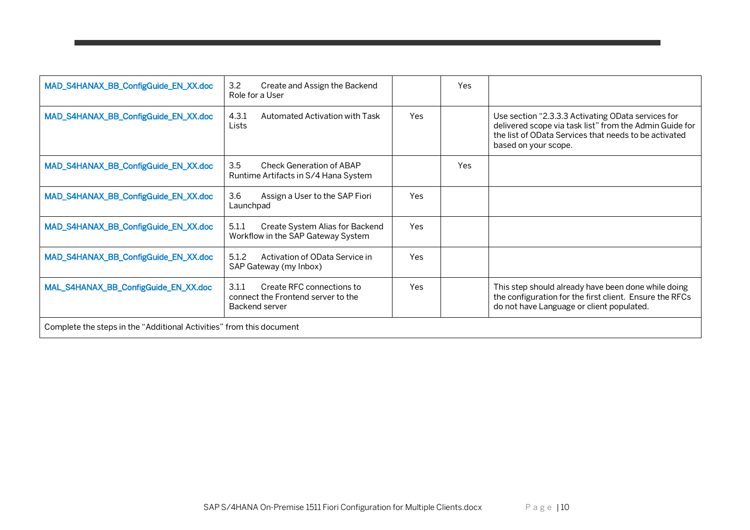| MAD_S4HANAX_BB_ConfigGuide_EN_XX.doc                                 | 3.2<br>Create and Assign the Backend<br>Role for a User                                    |            | Yes        |                                                                                                                                                                                                |  |
|----------------------------------------------------------------------|--------------------------------------------------------------------------------------------|------------|------------|------------------------------------------------------------------------------------------------------------------------------------------------------------------------------------------------|--|
| MAD_S4HANAX_BB_ConfigGuide_EN_XX.doc                                 | 4.3.1<br>Automated Activation with Task<br>Lists                                           | <b>Yes</b> |            | Use section "2.3.3.3 Activating OData services for<br>delivered scope via task list" from the Admin Guide for<br>the list of OData Services that needs to be activated<br>based on your scope. |  |
| MAD_S4HANAX_BB_ConfigGuide_EN_XX.doc                                 | 3.5<br>Check Generation of ABAP<br>Runtime Artifacts in S/4 Hana System                    |            | <b>Yes</b> |                                                                                                                                                                                                |  |
| MAD_S4HANAX_BB_ConfigGuide_EN_XX.doc                                 | 3.6<br>Assign a User to the SAP Fiori<br>Launchpad                                         | Yes        |            |                                                                                                                                                                                                |  |
| MAD_S4HANAX_BB_ConfigGuide_EN_XX.doc                                 | 5.1.1<br>Create System Alias for Backend<br>Workflow in the SAP Gateway System             | Yes        |            |                                                                                                                                                                                                |  |
| MAD_S4HANAX_BB_ConfigGuide_EN_XX.doc                                 | 5.1.2<br>Activation of OData Service in<br>SAP Gateway (my Inbox)                          | <b>Yes</b> |            |                                                                                                                                                                                                |  |
| MAL_S4HANAX_BB_ConfigGuide_EN_XX.doc                                 | Create RFC connections to<br>3.1.1<br>connect the Frontend server to the<br>Backend server | <b>Yes</b> |            | This step should already have been done while doing<br>the configuration for the first client. Ensure the RFCs<br>do not have Language or client populated.                                    |  |
| Complete the steps in the "Additional Activities" from this document |                                                                                            |            |            |                                                                                                                                                                                                |  |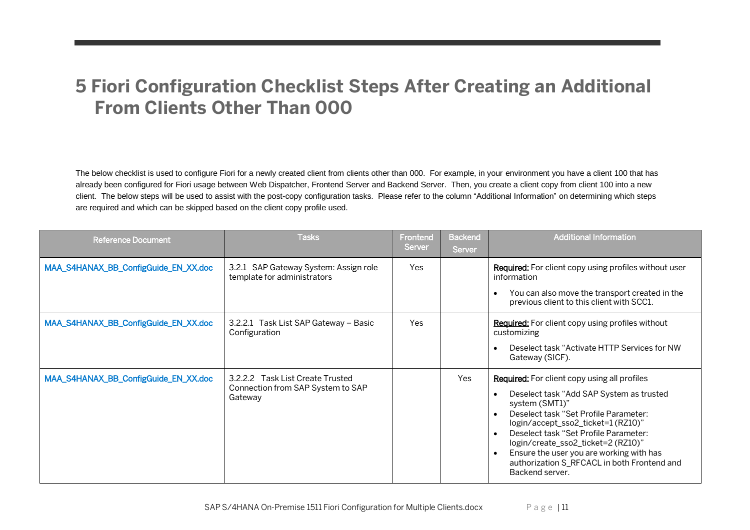#### <span id="page-10-0"></span>**5 Fiori Configuration Checklist Steps After Creating an Additional From Clients Other Than 000**

The below checklist is used to configure Fiori for a newly created client from clients other than 000. For example, in your environment you have a client 100 that has already been configured for Fiori usage between Web Dispatcher, Frontend Server and Backend Server. Then, you create a client copy from client 100 into a new client. The below steps will be used to assist with the post-copy configuration tasks. Please refer to the column "Additional Information" on determining which steps are required and which can be skipped based on the client copy profile used.

| <b>Reference Document</b>            | <b>Tasks</b>                                                                     | Frontend<br><b>Server</b> | <b>Backend</b><br>Server | <b>Additional Information</b>                                                                                                                                                                                                                                                                                                                                                                                                        |
|--------------------------------------|----------------------------------------------------------------------------------|---------------------------|--------------------------|--------------------------------------------------------------------------------------------------------------------------------------------------------------------------------------------------------------------------------------------------------------------------------------------------------------------------------------------------------------------------------------------------------------------------------------|
| MAA_S4HANAX_BB_ConfigGuide_EN_XX.doc | 3.2.1 SAP Gateway System: Assign role<br>template for administrators             | <b>Yes</b>                |                          | <b>Required:</b> For client copy using profiles without user<br>information<br>You can also move the transport created in the<br>previous client to this client with SCC1.                                                                                                                                                                                                                                                           |
| MAA_S4HANAX_BB_ConfigGuide_EN_XX.doc | 3.2.2.1 Task List SAP Gateway - Basic<br>Configuration                           | Yes                       |                          | <b>Required:</b> For client copy using profiles without<br>customizing<br>Deselect task "Activate HTTP Services for NW<br>$\bullet$<br>Gateway (SICF).                                                                                                                                                                                                                                                                               |
| MAA_S4HANAX_BB_ConfigGuide_EN_XX.doc | 3.2.2.2 Task List Create Trusted<br>Connection from SAP System to SAP<br>Gateway |                           | <b>Yes</b>               | <b>Required:</b> For client copy using all profiles<br>Deselect task "Add SAP System as trusted<br>system (SMT1)"<br>Deselect task "Set Profile Parameter:<br>$\bullet$<br>login/accept_sso2_ticket=1 (RZ10)"<br>Deselect task "Set Profile Parameter:<br>$\bullet$<br>login/create_sso2_ticket=2 (RZ10)"<br>Ensure the user you are working with has<br>$\bullet$<br>authorization S_RFCACL in both Frontend and<br>Backend server. |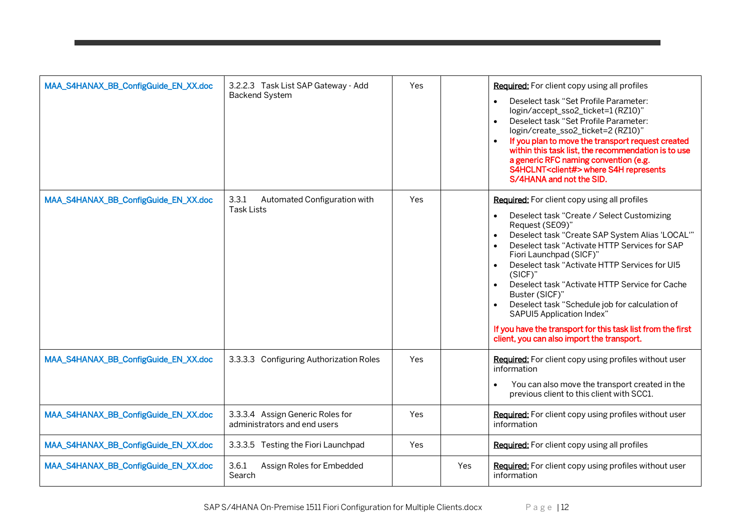| MAA_S4HANAX_BB_ConfigGuide_EN_XX.doc | 3.2.2.3 Task List SAP Gateway - Add<br><b>Backend System</b>     | Yes |     | Required: For client copy using all profiles<br>Deselect task "Set Profile Parameter:<br>$\bullet$<br>login/accept_sso2_ticket=1 (RZ10)"<br>Deselect task "Set Profile Parameter:<br>$\bullet$<br>login/create_sso2_ticket=2 (RZ10)"<br>If you plan to move the transport request created<br>within this task list, the recommendation is to use<br>a generic RFC naming convention (e.g.<br>S4HCLNT <client#> where S4H represents<br/>S/4HANA and not the SID.</client#>                                                                                                                                                |
|--------------------------------------|------------------------------------------------------------------|-----|-----|---------------------------------------------------------------------------------------------------------------------------------------------------------------------------------------------------------------------------------------------------------------------------------------------------------------------------------------------------------------------------------------------------------------------------------------------------------------------------------------------------------------------------------------------------------------------------------------------------------------------------|
| MAA_S4HANAX_BB_ConfigGuide_EN_XX.doc | 3.3.1<br>Automated Configuration with<br><b>Task Lists</b>       | Yes |     | <b>Required:</b> For client copy using all profiles<br>Deselect task "Create / Select Customizing<br>$\bullet$<br>Request (SE09)"<br>Deselect task "Create SAP System Alias 'LOCAL'"<br>$\bullet$<br>Deselect task "Activate HTTP Services for SAP<br>Fiori Launchpad (SICF)"<br>Deselect task "Activate HTTP Services for UI5<br>$(SICF)$ "<br>Deselect task "Activate HTTP Service for Cache<br>$\bullet$<br>Buster (SICF)"<br>Deselect task "Schedule job for calculation of<br>SAPUI5 Application Index"<br>If you have the transport for this task list from the first<br>client, you can also import the transport. |
| MAA_S4HANAX_BB_ConfigGuide_EN_XX.doc | 3.3.3.3 Configuring Authorization Roles                          | Yes |     | Required: For client copy using profiles without user<br>information<br>You can also move the transport created in the<br>$\bullet$<br>previous client to this client with SCC1.                                                                                                                                                                                                                                                                                                                                                                                                                                          |
| MAA_S4HANAX_BB_ConfigGuide_EN_XX.doc | 3.3.3.4 Assign Generic Roles for<br>administrators and end users | Yes |     | Required: For client copy using profiles without user<br>information                                                                                                                                                                                                                                                                                                                                                                                                                                                                                                                                                      |
| MAA_S4HANAX_BB_ConfigGuide_EN_XX.doc | 3.3.3.5 Testing the Fiori Launchpad                              | Yes |     | Required: For client copy using all profiles                                                                                                                                                                                                                                                                                                                                                                                                                                                                                                                                                                              |
| MAA_S4HANAX_BB_ConfigGuide_EN_XX.doc | 3.6.1<br>Assign Roles for Embedded<br>Search                     |     | Yes | <b>Required:</b> For client copy using profiles without user<br>information                                                                                                                                                                                                                                                                                                                                                                                                                                                                                                                                               |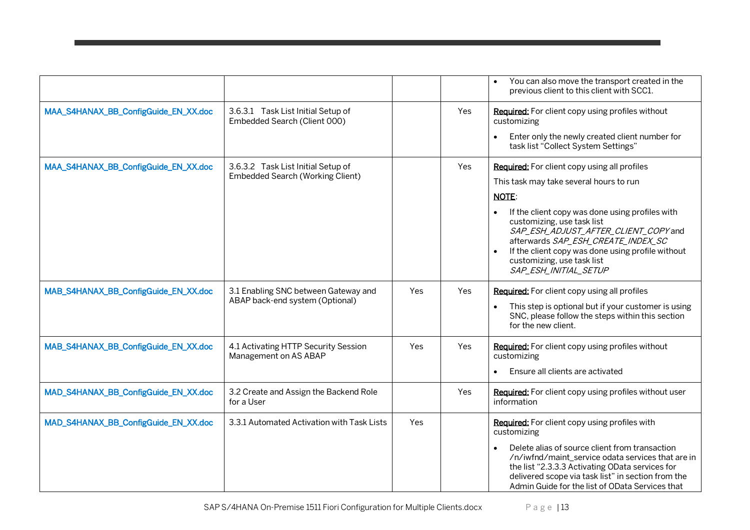|                                      |                                                                               |     |      | You can also move the transport created in the<br>previous client to this client with SCC1.                                                                                                                                                                             |
|--------------------------------------|-------------------------------------------------------------------------------|-----|------|-------------------------------------------------------------------------------------------------------------------------------------------------------------------------------------------------------------------------------------------------------------------------|
| MAA_S4HANAX_BB_ConfigGuide_EN_XX.doc | 3.6.3.1 Task List Initial Setup of<br>Embedded Search (Client 000)            |     | Yes. | Required: For client copy using profiles without<br>customizing                                                                                                                                                                                                         |
|                                      |                                                                               |     |      | Enter only the newly created client number for<br>task list "Collect System Settings"                                                                                                                                                                                   |
| MAA_S4HANAX_BB_ConfigGuide_EN_XX.doc | 3.6.3.2 Task List Initial Setup of<br><b>Embedded Search (Working Client)</b> |     | Yes  | Required: For client copy using all profiles                                                                                                                                                                                                                            |
|                                      |                                                                               |     |      | This task may take several hours to run                                                                                                                                                                                                                                 |
|                                      |                                                                               |     |      | <b>NOTE:</b>                                                                                                                                                                                                                                                            |
|                                      |                                                                               |     |      | If the client copy was done using profiles with<br>customizing, use task list<br>SAP_ESH_ADJUST_AFTER_CLIENT_COPY and<br>afterwards SAP_ESH_CREATE_INDEX_SC<br>If the client copy was done using profile without<br>customizing, use task list<br>SAP_ESH_INITIAL_SETUP |
| MAB_S4HANAX_BB_ConfigGuide_EN_XX.doc | 3.1 Enabling SNC between Gateway and                                          | Yes | Yes  | Required: For client copy using all profiles                                                                                                                                                                                                                            |
|                                      | ABAP back-end system (Optional)                                               |     |      | This step is optional but if your customer is using<br>SNC, please follow the steps within this section<br>for the new client.                                                                                                                                          |
| MAB_S4HANAX_BB_ConfigGuide_EN_XX.doc | 4.1 Activating HTTP Security Session<br>Management on AS ABAP                 | Yes | Yes  | Required: For client copy using profiles without<br>customizing                                                                                                                                                                                                         |
|                                      |                                                                               |     |      | Ensure all clients are activated                                                                                                                                                                                                                                        |
| MAD_S4HANAX_BB_ConfigGuide_EN_XX.doc | 3.2 Create and Assign the Backend Role<br>for a User                          |     | Yes  | Required: For client copy using profiles without user<br>information                                                                                                                                                                                                    |
| MAD_S4HANAX_BB_ConfigGuide_EN_XX.doc | 3.3.1 Automated Activation with Task Lists                                    | Yes |      | Required: For client copy using profiles with<br>customizing                                                                                                                                                                                                            |
|                                      |                                                                               |     |      | Delete alias of source client from transaction<br>/n/iwfnd/maint_service odata services that are in<br>the list "2.3.3.3 Activating OData services for<br>delivered scope via task list" in section from the<br>Admin Guide for the list of OData Services that         |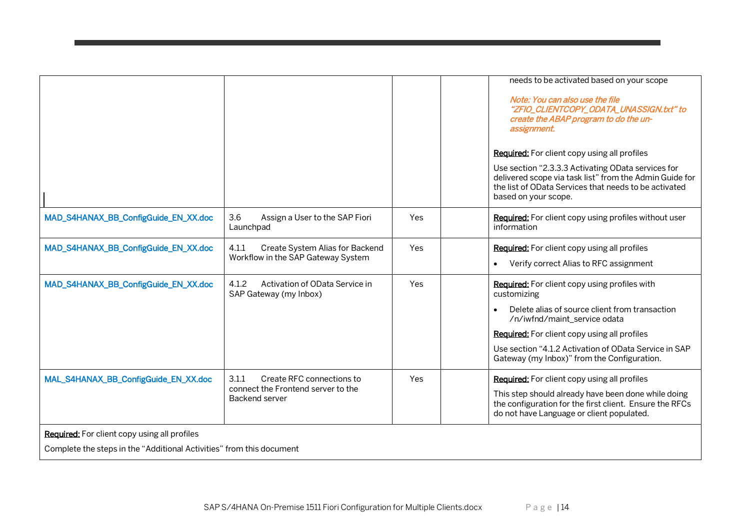|                                                                      |                                                                   |     | needs to be activated based on your scope                                                                                                                                                      |
|----------------------------------------------------------------------|-------------------------------------------------------------------|-----|------------------------------------------------------------------------------------------------------------------------------------------------------------------------------------------------|
|                                                                      |                                                                   |     | Note: You can also use the file<br>"ZFIO_CLIENTCOPY_ODATA_UNASSIGN.txt" to<br>create the ABAP program to do the un-<br>assignment.                                                             |
|                                                                      |                                                                   |     | Required: For client copy using all profiles                                                                                                                                                   |
|                                                                      |                                                                   |     | Use section "2.3.3.3 Activating OData services for<br>delivered scope via task list" from the Admin Guide for<br>the list of OData Services that needs to be activated<br>based on your scope. |
| MAD_S4HANAX_BB_ConfigGuide_EN_XX.doc                                 | 3.6<br>Assign a User to the SAP Fiori<br>Launchpad                | Yes | Required: For client copy using profiles without user<br>information                                                                                                                           |
| MAD_S4HANAX_BB_ConfigGuide_EN_XX.doc                                 | Create System Alias for Backend<br>4.1.1                          | Yes | Required: For client copy using all profiles                                                                                                                                                   |
|                                                                      | Workflow in the SAP Gateway System                                |     | Verify correct Alias to RFC assignment                                                                                                                                                         |
| MAD_S4HANAX_BB_ConfigGuide_EN_XX.doc                                 | Activation of OData Service in<br>4.1.2<br>SAP Gateway (my Inbox) | Yes | Required: For client copy using profiles with<br>customizing                                                                                                                                   |
|                                                                      |                                                                   |     | Delete alias of source client from transaction<br>/n/iwfnd/maint_service odata                                                                                                                 |
|                                                                      |                                                                   |     | <b>Required:</b> For client copy using all profiles                                                                                                                                            |
|                                                                      |                                                                   |     | Use section "4.1.2 Activation of OData Service in SAP<br>Gateway (my Inbox)" from the Configuration.                                                                                           |
| MAL_S4HANAX_BB_ConfigGuide_EN_XX.doc                                 | 3.1.1<br>Create RFC connections to                                | Yes | Required: For client copy using all profiles                                                                                                                                                   |
|                                                                      | connect the Frontend server to the<br>Backend server              |     | This step should already have been done while doing<br>the configuration for the first client. Ensure the RFCs<br>do not have Language or client populated.                                    |
| Required: For client copy using all profiles                         |                                                                   |     |                                                                                                                                                                                                |
| Complete the steps in the "Additional Activities" from this document |                                                                   |     |                                                                                                                                                                                                |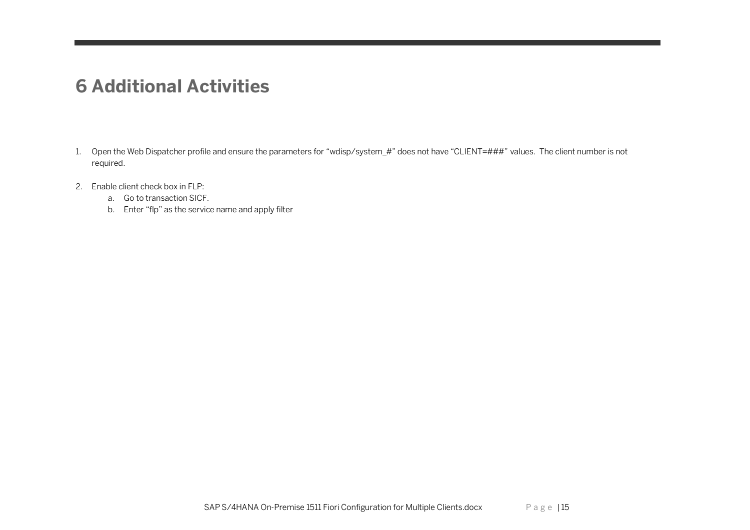#### <span id="page-14-0"></span>**6 Additional Activities**

- 1. Open the Web Dispatcher profile and ensure the parameters for "wdisp/system\_#" does not have "CLIENT=###" values. The client number is not required.
- 2. Enable client check box in FLP:
	- a. Go to transaction SICF.
	- b. Enter "flp" as the service name and apply filter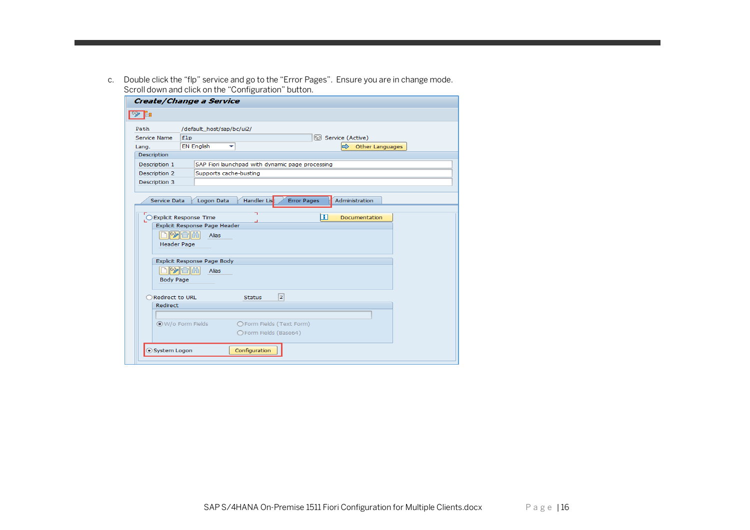c. Double click the "flp" service and go to the "Error Pages". Ensure you are in change mode. Scroll down and click on the "Configuration" button.

| Create/Change a Service                                                            |                               |                         |                                                  |                          |                |  |  |  |  |
|------------------------------------------------------------------------------------|-------------------------------|-------------------------|--------------------------------------------------|--------------------------|----------------|--|--|--|--|
|                                                                                    |                               |                         |                                                  |                          |                |  |  |  |  |
| /default_host/sap/bc/ui2/<br>Path                                                  |                               |                         |                                                  |                          |                |  |  |  |  |
|                                                                                    | Service Name                  | Service (Active)<br>flp |                                                  |                          |                |  |  |  |  |
| Lang.                                                                              |                               | <b>EN English</b>       | ▼                                                | Other Languages          |                |  |  |  |  |
|                                                                                    | Description                   |                         |                                                  |                          |                |  |  |  |  |
|                                                                                    | Description 1                 |                         | SAP Fiori launchpad with dynamic page processing |                          |                |  |  |  |  |
|                                                                                    | Description 2                 | Supports cache-busting  |                                                  |                          |                |  |  |  |  |
|                                                                                    | Description 3                 |                         |                                                  |                          |                |  |  |  |  |
|                                                                                    |                               |                         |                                                  |                          |                |  |  |  |  |
| Handler List<br><b>Error Pages</b><br>Logon Data<br>Administration<br>Service Data |                               |                         |                                                  |                          |                |  |  |  |  |
| ٦                                                                                  |                               |                         |                                                  |                          |                |  |  |  |  |
| H<br>O Explicit Response Time<br>Documentation                                     |                               |                         |                                                  |                          |                |  |  |  |  |
|                                                                                    | Explicit Response Page Header |                         |                                                  |                          |                |  |  |  |  |
|                                                                                    | <b>DB</b> 10<br>Alias         |                         |                                                  |                          |                |  |  |  |  |
|                                                                                    | <b>Header Page</b>            |                         |                                                  |                          |                |  |  |  |  |
|                                                                                    |                               |                         |                                                  |                          |                |  |  |  |  |
|                                                                                    | Explicit Response Page Body   |                         |                                                  |                          |                |  |  |  |  |
|                                                                                    | $ \psi $ min<br>Alias         |                         |                                                  |                          |                |  |  |  |  |
| <b>Body Page</b>                                                                   |                               |                         |                                                  |                          |                |  |  |  |  |
| Redirect to URL                                                                    |                               |                         |                                                  | <b>Status</b>            | $\overline{2}$ |  |  |  |  |
|                                                                                    | Redirect                      |                         |                                                  |                          |                |  |  |  |  |
|                                                                                    |                               |                         |                                                  |                          |                |  |  |  |  |
|                                                                                    |                               | ◉ W/o Form Fields       |                                                  | OForm Fields (Text Form) |                |  |  |  |  |
|                                                                                    |                               |                         |                                                  | ○Form Fields (Base64)    |                |  |  |  |  |
|                                                                                    |                               |                         |                                                  |                          |                |  |  |  |  |
|                                                                                    | System Logon                  |                         |                                                  | Configuration            |                |  |  |  |  |
|                                                                                    |                               |                         |                                                  |                          |                |  |  |  |  |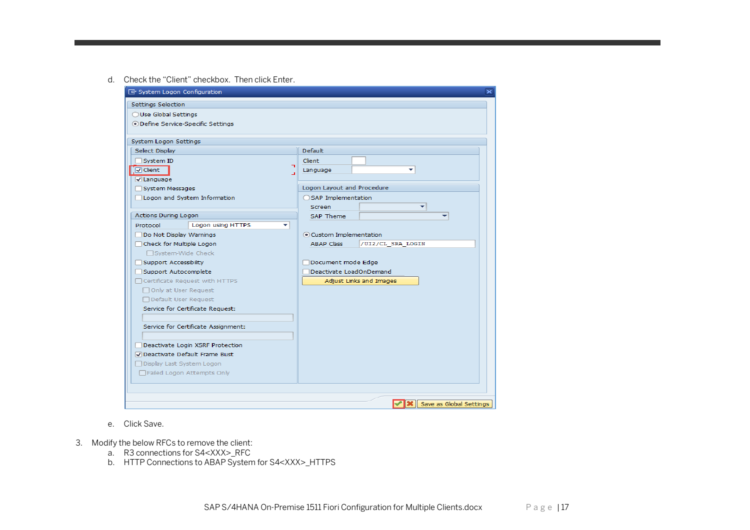d. Check the "Client" checkbox. Then click Enter.

| <b>『</b> System Logon Configuration<br>$\overline{\mathbf{x}}$ |                                        |  |  |  |  |  |  |  |
|----------------------------------------------------------------|----------------------------------------|--|--|--|--|--|--|--|
| Settings Selection                                             |                                        |  |  |  |  |  |  |  |
| ◯ Use Global Settings                                          |                                        |  |  |  |  |  |  |  |
| ● Define Service-Specific Settings                             |                                        |  |  |  |  |  |  |  |
|                                                                |                                        |  |  |  |  |  |  |  |
| System Logon Settings                                          |                                        |  |  |  |  |  |  |  |
| Select Display                                                 | Default                                |  |  |  |  |  |  |  |
| System ID<br>┑                                                 | Client                                 |  |  |  |  |  |  |  |
| $\sqrt{2}$ Client                                              | Language                               |  |  |  |  |  |  |  |
| <b>V</b> Language                                              |                                        |  |  |  |  |  |  |  |
| System Messages                                                | Logon Layout and Procedure             |  |  |  |  |  |  |  |
| Logon and System Information                                   | ◯ SAP Implementation                   |  |  |  |  |  |  |  |
| Actions During Logon                                           | <b>Screen</b><br><b>SAP Theme</b>      |  |  |  |  |  |  |  |
| Logon using HTTPS<br>Protocol<br>÷                             |                                        |  |  |  |  |  |  |  |
| Do Not Display Warnings                                        | Custom Implementation                  |  |  |  |  |  |  |  |
| Check for Multiple Logon                                       | <b>ABAP Class</b><br>/UI2/CL SRA LOGIN |  |  |  |  |  |  |  |
| □ System-Wide Check                                            |                                        |  |  |  |  |  |  |  |
| Support Accessibility                                          | Document mode Edge                     |  |  |  |  |  |  |  |
| Support Autocomplete                                           | Deactivate LoadOnDemand                |  |  |  |  |  |  |  |
| □ Certificate Request with HTTPS                               | Adjust Links and Images                |  |  |  |  |  |  |  |
| □ Only at User Request                                         |                                        |  |  |  |  |  |  |  |
| □ Default User Request                                         |                                        |  |  |  |  |  |  |  |
| Service for Certificate Request:                               |                                        |  |  |  |  |  |  |  |
|                                                                |                                        |  |  |  |  |  |  |  |
| Service for Certificate Assignment:                            |                                        |  |  |  |  |  |  |  |
| Deactivate Login XSRF Protection                               |                                        |  |  |  |  |  |  |  |
| O Deactivate Default Frame Bust                                |                                        |  |  |  |  |  |  |  |
| □ Display Last System Logon                                    |                                        |  |  |  |  |  |  |  |
| Failed Logon Attempts Only                                     |                                        |  |  |  |  |  |  |  |
|                                                                |                                        |  |  |  |  |  |  |  |
|                                                                |                                        |  |  |  |  |  |  |  |
|                                                                | <b>X</b> Save as Global Settings       |  |  |  |  |  |  |  |

- e. Click Save.
- 3. Modify the below RFCs to remove the client:
	- a. R3 connections for S4<XXX>\_RFC
	- b. HTTP Connections to ABAP System for S4<XXX>\_HTTPS